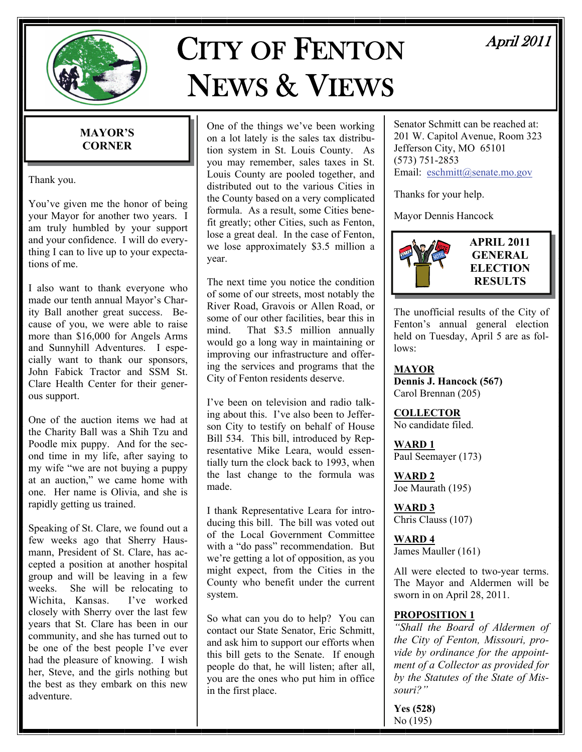

# CITY OF FENTON NEWS & VIEWS

# April 2011

# **MAYOR'S CORNER**

Thank you.

You've given me the honor of being your Mayor for another two years. I am truly humbled by your support and your confidence. I will do everything I can to live up to your expectations of me.

I also want to thank everyone who made our tenth annual Mayor's Charity Ball another great success. Because of you, we were able to raise more than \$16,000 for Angels Arms and Sunnyhill Adventures. I especially want to thank our sponsors, John Fabick Tractor and SSM St. Clare Health Center for their generous support.

One of the auction items we had at the Charity Ball was a Shih Tzu and Poodle mix puppy. And for the second time in my life, after saying to my wife "we are not buying a puppy at an auction," we came home with one. Her name is Olivia, and she is rapidly getting us trained.

Speaking of St. Clare, we found out a few weeks ago that Sherry Hausmann, President of St. Clare, has accepted a position at another hospital group and will be leaving in a few weeks. She will be relocating to Wichita, Kansas. I've worked closely with Sherry over the last few years that St. Clare has been in our community, and she has turned out to be one of the best people I've ever had the pleasure of knowing. I wish her, Steve, and the girls nothing but the best as they embark on this new adventure.

One of the things we've been working on a lot lately is the sales tax distribution system in St. Louis County. As you may remember, sales taxes in St. Louis County are pooled together, and distributed out to the various Cities in the County based on a very complicated formula. As a result, some Cities benefit greatly; other Cities, such as Fenton, lose a great deal. In the case of Fenton, we lose approximately \$3.5 million a year.

The next time you notice the condition of some of our streets, most notably the River Road, Gravois or Allen Road, or some of our other facilities, bear this in mind. That \$3.5 million annually would go a long way in maintaining or improving our infrastructure and offering the services and programs that the City of Fenton residents deserve.

I've been on television and radio talking about this. I've also been to Jefferson City to testify on behalf of House Bill 534. This bill, introduced by Representative Mike Leara, would essentially turn the clock back to 1993, when the last change to the formula was made.

I thank Representative Leara for introducing this bill. The bill was voted out of the Local Government Committee with a "do pass" recommendation. But we're getting a lot of opposition, as you might expect, from the Cities in the County who benefit under the current system.

So what can you do to help? You can contact our State Senator, Eric Schmitt, and ask him to support our efforts when this bill gets to the Senate. If enough people do that, he will listen; after all, you are the ones who put him in office in the first place.

Senator Schmitt can be reached at: 201 W. Capitol Avenue, Room 323 Jefferson City, MO 65101 (573) 751-2853 Email: [eschmitt@senate.mo.gov](mailto:eschmitt@senate.mo.gov)

Thanks for your help.

Mayor Dennis Hancock



The unofficial results of the City of Fenton's annual general election held on Tuesday, April 5 are as follows:

**MAYOR Dennis J. Hancock (567)**  Carol Brennan (205)

**COLLECTOR** No candidate filed.

**WARD 1** Paul Seemayer (173)

**WARD 2** Joe Maurath (195)

**WARD 3** Chris Clauss (107)

**WARD 4** James Mauller (161)

All were elected to two-year terms. The Mayor and Aldermen will be sworn in on April 28, 2011.

### **PROPOSITION 1**

*"Shall the Board of Aldermen of the City of Fenton, Missouri, provide by ordinance for the appointment of a Collector as provided for by the Statutes of the State of Missouri?"*

**Yes (528)**  No (195)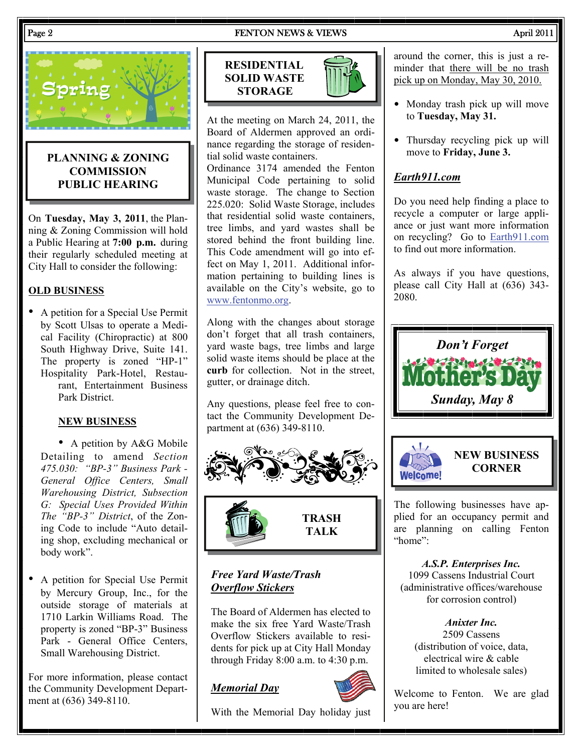#### Page 2 **FENTON NEWS & VIEWS** April 2011



# **PLANNING & ZONING COMMISSION PUBLIC HEARING**

On **Tuesday, May 3, 2011**, the Planning & Zoning Commission will hold a Public Hearing at **7:00 p.m.** during their regularly scheduled meeting at City Hall to consider the following:

# **OLD BUSINESS**

• A petition for a Special Use Permit by Scott Ulsas to operate a Medical Facility (Chiropractic) at 800 South Highway Drive, Suite 141. The property is zoned "HP-1" Hospitality Park-Hotel, Restaurant, Entertainment Business Park District.

#### **NEW BUSINESS**

• A petition by A&G Mobile Detailing to amend *Section 475.030: "BP-3" Business Park - General Office Centers, Small Warehousing District, Subsection G: Special Uses Provided Within The "BP-3" District*, of the Zoning Code to include "Auto detailing shop, excluding mechanical or body work".

• A petition for Special Use Permit by Mercury Group, Inc., for the outside storage of materials at 1710 Larkin Williams Road. The property is zoned "BP-3" Business Park - General Office Centers, Small Warehousing District.

For more information, please contact the Community Development Department at (636) 349-8110.





At the meeting on March 24, 2011, the Board of Aldermen approved an ordinance regarding the storage of residential solid waste containers.

Ordinance 3174 amended the Fenton Municipal Code pertaining to solid waste storage. The change to Section 225.020: Solid Waste Storage, includes that residential solid waste containers, tree limbs, and yard wastes shall be stored behind the front building line. This Code amendment will go into effect on May 1, 2011. Additional information pertaining to building lines is available on the City's website, go to [www.fentonmo.org.](http://www.fentonmo.org)

Along with the changes about storage don't forget that all trash containers, yard waste bags, tree limbs and large solid waste items should be place at the **curb** for collection. Not in the street, gutter, or drainage ditch.

Any questions, please feel free to contact the Community Development Department at (636) 349-8110.



# *Free Yard Waste/Trash Overflow Stickers*

The Board of Aldermen has elected to make the six free Yard Waste/Trash Overflow Stickers available to residents for pick up at City Hall Monday through Friday 8:00 a.m. to 4:30 p.m.

### *Memorial Day*



With the Memorial Day holiday just

around the corner, this is just a reminder that there will be no trash pick up on Monday, May 30, 2010.

- Monday trash pick up will move to **Tuesday, May 31.**
- Thursday recycling pick up will move to **Friday, June 3.**

# *Earth911.com*

Do you need help finding a place to recycle a computer or large appliance or just want more information on recycling? Go to [Earth911.com](http://www.Earth911.com) to find out more information.

As always if you have questions, please call City Hall at (636) 343- 2080.





The following businesses have applied for an occupancy permit and are planning on calling Fenton "home":

*A.S.P. Enterprises Inc.*  1099 Cassens Industrial Court (administrative offices/warehouse for corrosion control)

*Anixter Inc.* 

2509 Cassens (distribution of voice, data, electrical wire & cable limited to wholesale sales)

Welcome to Fenton. We are glad you are here!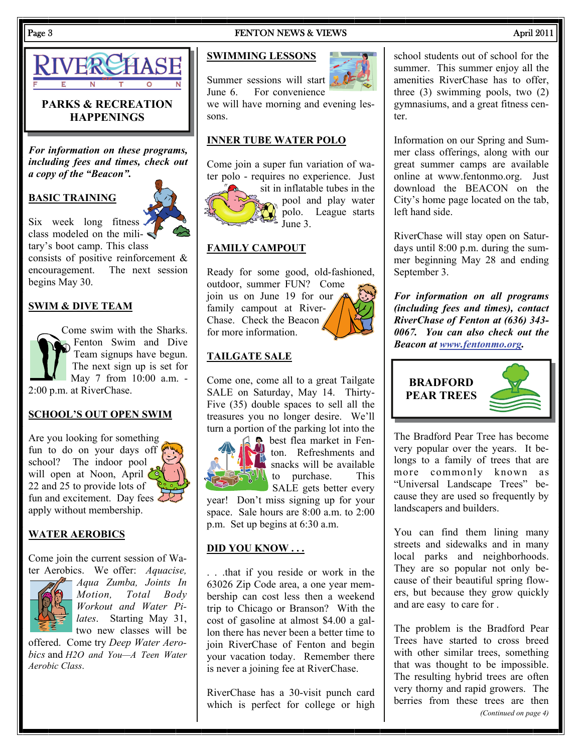

# **PARKS & RECREATION HAPPENINGS**

*For information on these programs, including fees and times, check out a copy of the "Beacon".* 

# **BASIC TRAINING**



Six week long fitness  $\triangleleft$ class modeled on the mili- $\blacktriangleleft$ tary's boot camp. This class consists of positive reinforcement & encouragement. The next session begins May 30.

# **SWIM & DIVE TEAM**

Come swim with the Sharks. Fenton Swim and Dive Team signups have begun. The next sign up is set for May 7 from 10:00 a.m. - 2:00 p.m. at RiverChase.

### **SCHOOL'S OUT OPEN SWIM**

Are you looking for something fun to do on your days off school? The indoor pool will open at Noon, April 22 and 25 to provide lots of fun and excitement. Day fees  $\sum$ apply without membership.

#### **WATER AEROBICS**

Come join the current session of Water Aerobics. We offer: *Aquacise,* 



*Aqua Zumba, Joints In Motion, Total Body Workout and Water Pilates*. Starting May 31, two new classes will be

offered. Come try *Deep Water Aerobics* and *H2O and You—A Teen Water Aerobic Class*.

#### Page 3 FENTON NEWS & VIEWS April 2011

#### **SWIMMING LESSONS**

Summer sessions will start June 6. For convenience

we will have morning and evening lessons.

### **INNER TUBE WATER POLO**

Come join a super fun variation of water polo - requires no experience. Just



sit in inflatable tubes in the pool and play water polo. League starts June 3.

#### **FAMILY CAMPOUT**

Ready for some good, old-fashioned, outdoor, summer FUN? Come join us on June 19 for our  $\land$ family campout at River-Chase. Check the Beacon for more information.



Come one, come all to a great Tailgate SALE on Saturday, May 14. Thirty-Five (35) double spaces to sell all the treasures you no longer desire. We'll turn a portion of the parking lot into the



**b** best flea market in Fenton. Refreshments and snacks will be available to purchase. This

SALE gets better every year! Don't miss signing up for your space. Sale hours are 8:00 a.m. to 2:00 p.m. Set up begins at 6:30 a.m.

### **DID YOU KNOW . . .**

. . .that if you reside or work in the 63026 Zip Code area, a one year membership can cost less then a weekend trip to Chicago or Branson? With the cost of gasoline at almost \$4.00 a gallon there has never been a better time to join RiverChase of Fenton and begin your vacation today. Remember there is never a joining fee at RiverChase.

RiverChase has a 30-visit punch card which is perfect for college or high

### school students out of school for the summer. This summer enjoy all the amenities RiverChase has to offer, three (3) swimming pools, two (2) gymnasiums, and a great fitness center.

Information on our Spring and Summer class offerings, along with our great summer camps are available online at www.fentonmo.org. Just download the BEACON on the City's home page located on the tab, left hand side.

RiverChase will stay open on Saturdays until 8:00 p.m. during the summer beginning May 28 and ending September 3.

*For information on all programs (including fees and times), contact RiverChase of Fenton at (636) 343- 0067. You can also check out the Beacon at [www.fentonmo.org](http://www.fentonmo.org).*



The Bradford Pear Tree has become very popular over the years. It belongs to a family of trees that are more commonly known as "Universal Landscape Trees" because they are used so frequently by landscapers and builders.

You can find them lining many streets and sidewalks and in many local parks and neighborhoods. They are so popular not only because of their beautiful spring flowers, but because they grow quickly and are easy to care for .

The problem is the Bradford Pear Trees have started to cross breed with other similar trees, something that was thought to be impossible. The resulting hybrid trees are often very thorny and rapid growers. The berries from these trees are then *(Continued on page 4)*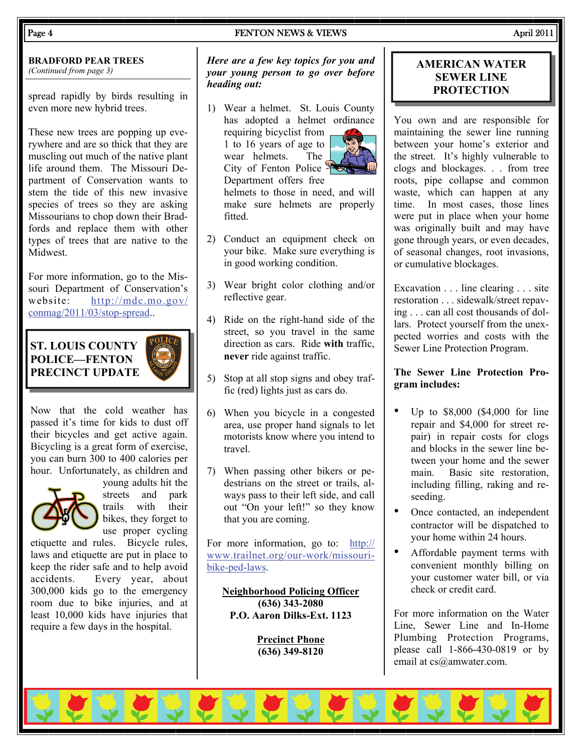#### Page 4 **FENTON NEWS & VIEWS** April 2011

**BRADFORD PEAR TREES**  *(Continued from page 3)* 

spread rapidly by birds resulting in even more new hybrid trees.

These new trees are popping up everywhere and are so thick that they are muscling out much of the native plant life around them. The Missouri Department of Conservation wants to stem the tide of this new invasive species of trees so they are asking Missourians to chop down their Bradfords and replace them with other types of trees that are native to the **Midwest** 

For more information, go to the Missouri Department of Conservation's website: [http://mdc.mo.gov/](http://mdc.mo.gov/conmag/2011/03/stop-spread) [conmag/2011/03/stop-spread.](http://mdc.mo.gov/conmag/2011/03/stop-spread).

**ST. LOUIS COUNTY POLICE—FENTON PRECINCT UPDATE** 



Now that the cold weather has passed it's time for kids to dust off their bicycles and get active again. Bicycling is a great form of exercise, you can burn 300 to 400 calories per hour. Unfortunately, as children and



young adults hit the streets and park trails with their bikes, they forget to use proper cycling

etiquette and rules. Bicycle rules, laws and etiquette are put in place to keep the rider safe and to help avoid accidents. Every year, about 300,000 kids go to the emergency room due to bike injuries, and at least 10,000 kids have injuries that require a few days in the hospital.

*Here are a few key topics for you and your young person to go over before heading out:* 

1) Wear a helmet. St. Louis County has adopted a helmet ordinance requiring bicyclist from

1 to 16 years of age to wear helmets. The City of Fenton Police Department offers free

helmets to those in need, and will make sure helmets are properly fitted.

- 2) Conduct an equipment check on your bike. Make sure everything is in good working condition.
- 3) Wear bright color clothing and/or reflective gear.
- 4) Ride on the right-hand side of the street, so you travel in the same direction as cars. Ride **with** traffic, **never** ride against traffic.
- 5) Stop at all stop signs and obey traffic (red) lights just as cars do.
- 6) When you bicycle in a congested area, use proper hand signals to let motorists know where you intend to travel.
- 7) When passing other bikers or pedestrians on the street or trails, always pass to their left side, and call out "On your left!" so they know that you are coming.

For more information, go to: [http://](http://www.trailnet.org/our-work/missouri-bike-ped-laws) [www.trailnet.org/our-work/missouri](http://www.trailnet.org/our-work/missouri-bike-ped-laws)[bike-ped-laws](http://www.trailnet.org/our-work/missouri-bike-ped-laws).

**Neighborhood Policing Officer (636) 343-2080 P.O. Aaron Dilks-Ext. 1123** 

> **Precinct Phone (636) 349-8120**

# **AMERICAN WATER SEWER LINE PROTECTION**

You own and are responsible for maintaining the sewer line running between your home's exterior and the street. It's highly vulnerable to clogs and blockages. . . from tree roots, pipe collapse and common waste, which can happen at any time. In most cases, those lines were put in place when your home was originally built and may have gone through years, or even decades, of seasonal changes, root invasions, or cumulative blockages.

Excavation . . . line clearing . . . site restoration . . . sidewalk/street repaving . . . can all cost thousands of dollars. Protect yourself from the unexpected worries and costs with the Sewer Line Protection Program.

### **The Sewer Line Protection Program includes:**

- Up to \$8,000 (\$4,000 for line repair and \$4,000 for street repair) in repair costs for clogs and blocks in the sewer line between your home and the sewer main. Basic site restoration, including filling, raking and reseeding.
- Once contacted, an independent contractor will be dispatched to your home within 24 hours.
- Affordable payment terms with convenient monthly billing on your customer water bill, or via check or credit card.

For more information on the Water Line, Sewer Line and In-Home Plumbing Protection Programs, please call 1-866-430-0819 or by email at cs@amwater.com.

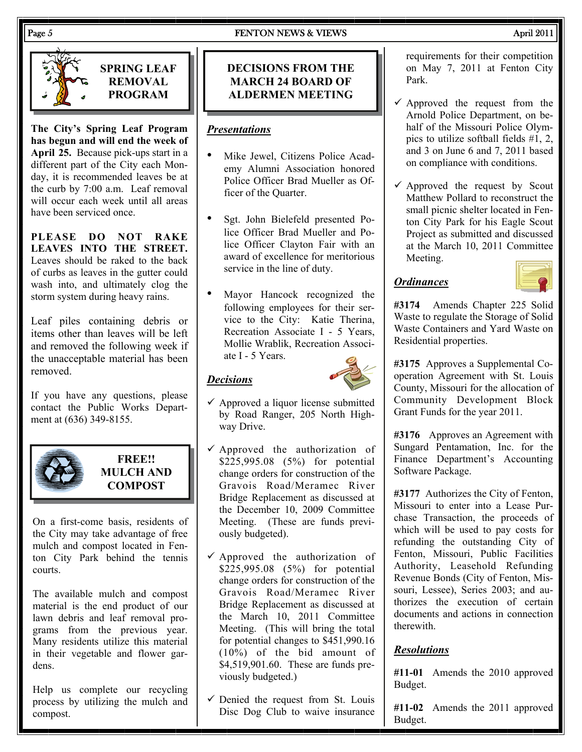



**SPRING LEAF REMOVAL PROGRAM** 

**The City's Spring Leaf Program has begun and will end the week of April 25.** Because pick-ups start in a different part of the City each Monday, it is recommended leaves be at the curb by 7:00 a.m. Leaf removal will occur each week until all areas have been serviced once.

**PLEASE DO NOT RAKE LEAVES INTO THE STREET.** Leaves should be raked to the back of curbs as leaves in the gutter could wash into, and ultimately clog the storm system during heavy rains.

Leaf piles containing debris or items other than leaves will be left and removed the following week if the unacceptable material has been removed.

If you have any questions, please contact the Public Works Department at (636) 349-8155.



**FREE!! MULCH AND COMPOST** 

On a first-come basis, residents of the City may take advantage of free mulch and compost located in Fenton City Park behind the tennis courts.

The available mulch and compost material is the end product of our lawn debris and leaf removal programs from the previous year. Many residents utilize this material in their vegetable and flower gardens.

Help us complete our recycling process by utilizing the mulch and compost.

# **DECISIONS FROM THE MARCH 24 BOARD OF ALDERMEN MEETING**

# *Presentations*

- Mike Jewel, Citizens Police Academy Alumni Association honored Police Officer Brad Mueller as Officer of the Quarter.
- Sgt. John Bielefeld presented Police Officer Brad Mueller and Police Officer Clayton Fair with an award of excellence for meritorious service in the line of duty.
- Mayor Hancock recognized the following employees for their service to the City: Katie Therina, Recreation Associate I - 5 Years, Mollie Wrablik, Recreation Associate I - 5 Years.

# *Decisions*



- $\checkmark$  Approved a liquor license submitted by Road Ranger, 205 North Highway Drive.
- $\checkmark$  Approved the authorization of \$225,995.08 (5%) for potential change orders for construction of the Gravois Road/Meramec River Bridge Replacement as discussed at the December 10, 2009 Committee Meeting. (These are funds previously budgeted).
- $\checkmark$  Approved the authorization of \$225,995.08 (5%) for potential change orders for construction of the Gravois Road/Meramec River Bridge Replacement as discussed at the March 10, 2011 Committee Meeting. (This will bring the total for potential changes to \$451,990.16 (10%) of the bid amount of \$4,519,901.60. These are funds previously budgeted.)
- $\checkmark$  Denied the request from St. Louis Disc Dog Club to waive insurance

requirements for their competition on May 7, 2011 at Fenton City Park.

- $\checkmark$  Approved the request from the Arnold Police Department, on behalf of the Missouri Police Olympics to utilize softball fields #1, 2, and 3 on June 6 and 7, 2011 based on compliance with conditions.
- $\checkmark$  Approved the request by Scout Matthew Pollard to reconstruct the small picnic shelter located in Fenton City Park for his Eagle Scout Project as submitted and discussed at the March 10, 2011 Committee Meeting.

# *Ordinances*



**#3174** Amends Chapter 225 Solid Waste to regulate the Storage of Solid Waste Containers and Yard Waste on Residential properties.

**#3175** Approves a Supplemental Cooperation Agreement with St. Louis County, Missouri for the allocation of Community Development Block Grant Funds for the year 2011.

**#3176** Approves an Agreement with Sungard Pentamation, Inc. for the Finance Department's Accounting Software Package.

**#3177** Authorizes the City of Fenton, Missouri to enter into a Lease Purchase Transaction, the proceeds of which will be used to pay costs for refunding the outstanding City of Fenton, Missouri, Public Facilities Authority, Leasehold Refunding Revenue Bonds (City of Fenton, Missouri, Lessee), Series 2003; and authorizes the execution of certain documents and actions in connection therewith.

# *Resolutions*

**#11-01** Amends the 2010 approved Budget.

**#11-02** Amends the 2011 approved Budget.